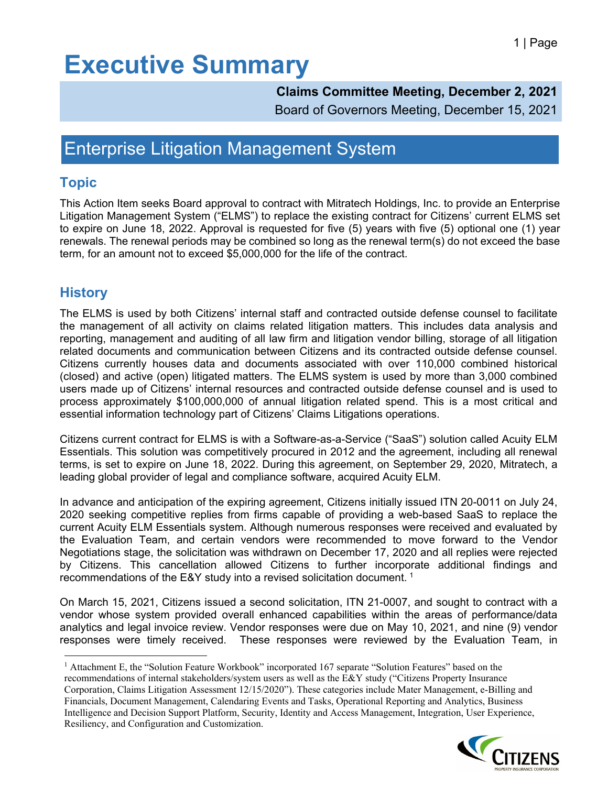#### **Claims Committee Meeting, December 2, 2021**

Board of Governors Meeting, December 15, 2021

### Enterprise Litigation Management System

#### **Topic**

This Action Item seeks Board approval to contract with Mitratech Holdings, Inc. to provide an Enterprise Litigation Management System ("ELMS") to replace the existing contract for Citizens' current ELMS set to expire on June 18, 2022. Approval is requested for five (5) years with five (5) optional one (1) year renewals. The renewal periods may be combined so long as the renewal term(s) do not exceed the base term, for an amount not to exceed \$5,000,000 for the life of the contract.

### **History**

The ELMS is used by both Citizens' internal staff and contracted outside defense counsel to facilitate the management of all activity on claims related litigation matters. This includes data analysis and reporting, management and auditing of all law firm and litigation vendor billing, storage of all litigation related documents and communication between Citizens and its contracted outside defense counsel. Citizens currently houses data and documents associated with over 110,000 combined historical (closed) and active (open) litigated matters. The ELMS system is used by more than 3,000 combined users made up of Citizens' internal resources and contracted outside defense counsel and is used to process approximately \$100,000,000 of annual litigation related spend. This is a most critical and essential information technology part of Citizens' Claims Litigations operations.

Citizens current contract for ELMS is with a Software-as-a-Service ("SaaS") solution called Acuity ELM Essentials. This solution was competitively procured in 2012 and the agreement, including all renewal terms, is set to expire on June 18, 2022. During this agreement, on September 29, 2020, Mitratech, a leading global provider of legal and compliance software, acquired Acuity ELM.

In advance and anticipation of the expiring agreement, Citizens initially issued ITN 20-0011 on July 24, 2020 seeking competitive replies from firms capable of providing a web-based SaaS to replace the current Acuity ELM Essentials system. Although numerous responses were received and evaluated by the Evaluation Team, and certain vendors were recommended to move forward to the Vendor Negotiations stage, the solicitation was withdrawn on December 17, 2020 and all replies were rejected by Citizens. This cancellation allowed Citizens to further incorporate additional findings and recommendations of the E&Y study into a revised solicitation document. [1](#page-0-0)

On March 15, 2021, Citizens issued a second solicitation, ITN 21-0007, and sought to contract with a vendor whose system provided overall enhanced capabilities within the areas of performance/data analytics and legal invoice review. Vendor responses were due on May 10, 2021, and nine (9) vendor responses were timely received. These responses were reviewed by the Evaluation Team, in

<span id="page-0-0"></span><sup>1</sup> Attachment E, the "Solution Feature Workbook" incorporated 167 separate "Solution Features" based on the recommendations of internal stakeholders/system users as well as the E&Y study ("Citizens Property Insurance Corporation, Claims Litigation Assessment 12/15/2020"). These categories include Mater Management, e-Billing and Financials, Document Management, Calendaring Events and Tasks, Operational Reporting and Analytics, Business Intelligence and Decision Support Platform, Security, Identity and Access Management, Integration, User Experience, Resiliency, and Configuration and Customization.

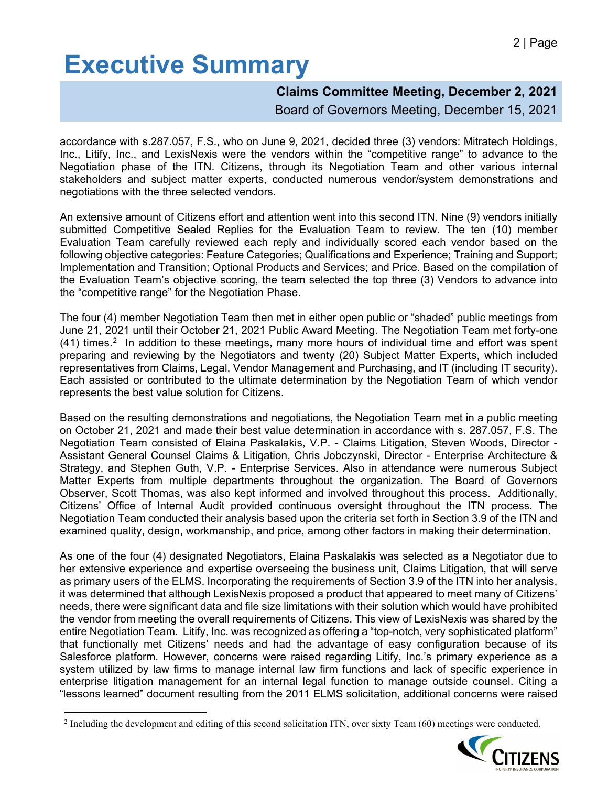#### **Claims Committee Meeting, December 2, 2021**

Board of Governors Meeting, December 15, 2021

accordance with s.287.057, F.S., who on June 9, 2021, decided three (3) vendors: Mitratech Holdings, Inc., Litify, Inc., and LexisNexis were the vendors within the "competitive range" to advance to the Negotiation phase of the ITN. Citizens, through its Negotiation Team and other various internal stakeholders and subject matter experts, conducted numerous vendor/system demonstrations and negotiations with the three selected vendors.

An extensive amount of Citizens effort and attention went into this second ITN. Nine (9) vendors initially submitted Competitive Sealed Replies for the Evaluation Team to review. The ten (10) member Evaluation Team carefully reviewed each reply and individually scored each vendor based on the following objective categories: Feature Categories; Qualifications and Experience; Training and Support; Implementation and Transition; Optional Products and Services; and Price. Based on the compilation of the Evaluation Team's objective scoring, the team selected the top three (3) Vendors to advance into the "competitive range" for the Negotiation Phase.

The four (4) member Negotiation Team then met in either open public or "shaded" public meetings from June 21, 2021 until their October 21, 2021 Public Award Meeting. The Negotiation Team met forty-one  $(41)$  times.<sup>[2](#page-1-0)</sup> In addition to these meetings, many more hours of individual time and effort was spent preparing and reviewing by the Negotiators and twenty (20) Subject Matter Experts, which included representatives from Claims, Legal, Vendor Management and Purchasing, and IT (including IT security). Each assisted or contributed to the ultimate determination by the Negotiation Team of which vendor represents the best value solution for Citizens.

Based on the resulting demonstrations and negotiations, the Negotiation Team met in a public meeting on October 21, 2021 and made their best value determination in accordance with s. 287.057, F.S. The Negotiation Team consisted of Elaina Paskalakis, V.P. - Claims Litigation, Steven Woods, Director - Assistant General Counsel Claims & Litigation, Chris Jobczynski, Director - Enterprise Architecture & Strategy, and Stephen Guth, V.P. - Enterprise Services. Also in attendance were numerous Subject Matter Experts from multiple departments throughout the organization. The Board of Governors Observer, Scott Thomas, was also kept informed and involved throughout this process. Additionally, Citizens' Office of Internal Audit provided continuous oversight throughout the ITN process. The Negotiation Team conducted their analysis based upon the criteria set forth in Section 3.9 of the ITN and examined quality, design, workmanship, and price, among other factors in making their determination.

As one of the four (4) designated Negotiators, Elaina Paskalakis was selected as a Negotiator due to her extensive experience and expertise overseeing the business unit, Claims Litigation, that will serve as primary users of the ELMS. Incorporating the requirements of Section 3.9 of the ITN into her analysis, it was determined that although LexisNexis proposed a product that appeared to meet many of Citizens' needs, there were significant data and file size limitations with their solution which would have prohibited the vendor from meeting the overall requirements of Citizens. This view of LexisNexis was shared by the entire Negotiation Team. Litify, Inc. was recognized as offering a "top-notch, very sophisticated platform" that functionally met Citizens' needs and had the advantage of easy configuration because of its Salesforce platform. However, concerns were raised regarding Litify, Inc.'s primary experience as a system utilized by law firms to manage internal law firm functions and lack of specific experience in enterprise litigation management for an internal legal function to manage outside counsel. Citing a "lessons learned" document resulting from the 2011 ELMS solicitation, additional concerns were raised

<span id="page-1-0"></span> $2$  Including the development and editing of this second solicitation ITN, over sixty Team (60) meetings were conducted.

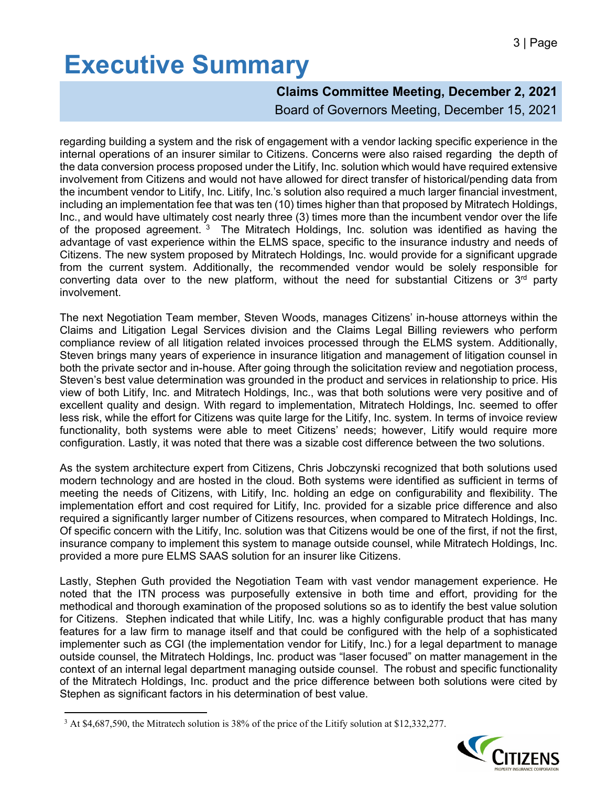### **Claims Committee Meeting, December 2, 2021**

Board of Governors Meeting, December 15, 2021

regarding building a system and the risk of engagement with a vendor lacking specific experience in the internal operations of an insurer similar to Citizens. Concerns were also raised regarding the depth of the data conversion process proposed under the Litify, Inc. solution which would have required extensive involvement from Citizens and would not have allowed for direct transfer of historical/pending data from the incumbent vendor to Litify, Inc. Litify, Inc.'s solution also required a much larger financial investment, including an implementation fee that was ten (10) times higher than that proposed by Mitratech Holdings, Inc., and would have ultimately cost nearly three (3) times more than the incumbent vendor over the life of the proposed agreement.<sup>[3](#page-2-0)</sup> The Mitratech Holdings, Inc. solution was identified as having the advantage of vast experience within the ELMS space, specific to the insurance industry and needs of Citizens. The new system proposed by Mitratech Holdings, Inc. would provide for a significant upgrade from the current system. Additionally, the recommended vendor would be solely responsible for converting data over to the new platform, without the need for substantial Citizens or  $3<sup>rd</sup>$  party involvement.

The next Negotiation Team member, Steven Woods, manages Citizens' in-house attorneys within the Claims and Litigation Legal Services division and the Claims Legal Billing reviewers who perform compliance review of all litigation related invoices processed through the ELMS system. Additionally, Steven brings many years of experience in insurance litigation and management of litigation counsel in both the private sector and in-house. After going through the solicitation review and negotiation process, Steven's best value determination was grounded in the product and services in relationship to price. His view of both Litify, Inc. and Mitratech Holdings, Inc., was that both solutions were very positive and of excellent quality and design. With regard to implementation, Mitratech Holdings, Inc. seemed to offer less risk, while the effort for Citizens was quite large for the Litify, Inc. system. In terms of invoice review functionality, both systems were able to meet Citizens' needs; however, Litify would require more configuration. Lastly, it was noted that there was a sizable cost difference between the two solutions.

As the system architecture expert from Citizens, Chris Jobczynski recognized that both solutions used modern technology and are hosted in the cloud. Both systems were identified as sufficient in terms of meeting the needs of Citizens, with Litify, Inc. holding an edge on configurability and flexibility. The implementation effort and cost required for Litify, Inc. provided for a sizable price difference and also required a significantly larger number of Citizens resources, when compared to Mitratech Holdings, Inc. Of specific concern with the Litify, Inc. solution was that Citizens would be one of the first, if not the first, insurance company to implement this system to manage outside counsel, while Mitratech Holdings, Inc. provided a more pure ELMS SAAS solution for an insurer like Citizens.

Lastly, Stephen Guth provided the Negotiation Team with vast vendor management experience. He noted that the ITN process was purposefully extensive in both time and effort, providing for the methodical and thorough examination of the proposed solutions so as to identify the best value solution for Citizens. Stephen indicated that while Litify, Inc. was a highly configurable product that has many features for a law firm to manage itself and that could be configured with the help of a sophisticated implementer such as CGI (the implementation vendor for Litify, Inc.) for a legal department to manage outside counsel, the Mitratech Holdings, Inc. product was "laser focused" on matter management in the context of an internal legal department managing outside counsel. The robust and specific functionality of the Mitratech Holdings, Inc. product and the price difference between both solutions were cited by Stephen as significant factors in his determination of best value.

<span id="page-2-0"></span><sup>&</sup>lt;sup>3</sup> At \$4,687,590, the Mitratech solution is 38% of the price of the Litify solution at \$12,332,277.

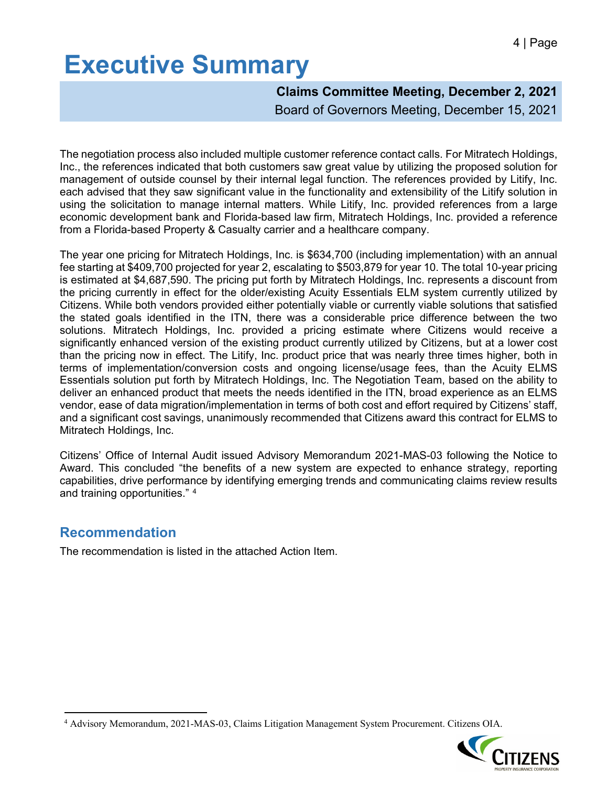**Claims Committee Meeting, December 2, 2021** Board of Governors Meeting, December 15, 2021

The negotiation process also included multiple customer reference contact calls. For Mitratech Holdings, Inc., the references indicated that both customers saw great value by utilizing the proposed solution for management of outside counsel by their internal legal function. The references provided by Litify, Inc. each advised that they saw significant value in the functionality and extensibility of the Litify solution in using the solicitation to manage internal matters. While Litify, Inc. provided references from a large economic development bank and Florida-based law firm, Mitratech Holdings, Inc. provided a reference from a Florida-based Property & Casualty carrier and a healthcare company.

The year one pricing for Mitratech Holdings, Inc. is \$634,700 (including implementation) with an annual fee starting at \$409,700 projected for year 2, escalating to \$503,879 for year 10. The total 10-year pricing is estimated at \$4,687,590. The pricing put forth by Mitratech Holdings, Inc. represents a discount from the pricing currently in effect for the older/existing Acuity Essentials ELM system currently utilized by Citizens. While both vendors provided either potentially viable or currently viable solutions that satisfied the stated goals identified in the ITN, there was a considerable price difference between the two solutions. Mitratech Holdings, Inc. provided a pricing estimate where Citizens would receive a significantly enhanced version of the existing product currently utilized by Citizens, but at a lower cost than the pricing now in effect. The Litify, Inc. product price that was nearly three times higher, both in terms of implementation/conversion costs and ongoing license/usage fees, than the Acuity ELMS Essentials solution put forth by Mitratech Holdings, Inc. The Negotiation Team, based on the ability to deliver an enhanced product that meets the needs identified in the ITN, broad experience as an ELMS vendor, ease of data migration/implementation in terms of both cost and effort required by Citizens' staff, and a significant cost savings, unanimously recommended that Citizens award this contract for ELMS to Mitratech Holdings, Inc.

Citizens' Office of Internal Audit issued Advisory Memorandum 2021-MAS-03 following the Notice to Award. This concluded "the benefits of a new system are expected to enhance strategy, reporting capabilities, drive performance by identifying emerging trends and communicating claims review results and training opportunities." [4](#page-3-0)

#### **Recommendation**

The recommendation is listed in the attached Action Item.

<span id="page-3-0"></span><sup>4</sup> Advisory Memorandum, 2021-MAS-03, Claims Litigation Management System Procurement. Citizens OIA.

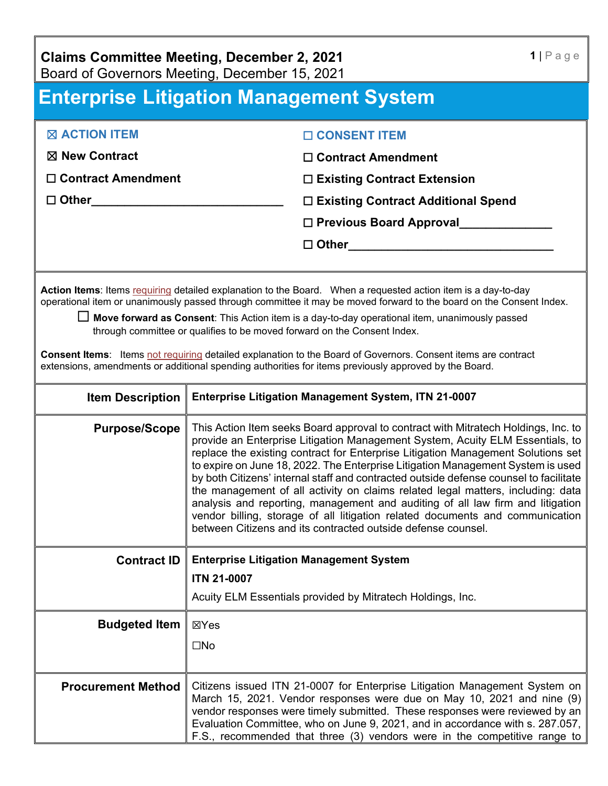**Claims Committee Meeting, December 2, 2021** Board of Governors Meeting, December 15, 2021

## **Enterprise Litigation Management System**

| $\boxtimes$ ACTION ITEM   | □ CONSENT ITEM                       |
|---------------------------|--------------------------------------|
| $\boxtimes$ New Contract  | $\Box$ Contract Amendment            |
| $\Box$ Contract Amendment | $\Box$ Existing Contract Extension   |
| $\Box$ Other              | □ Existing Contract Additional Spend |
|                           | $\Box$ Previous Board Approval       |
|                           | $\Box$ Other                         |
|                           |                                      |

Action Items: Items requiring detailed explanation to the Board. When a requested action item is a day-to-day operational item or unanimously passed through committee it may be moved forward to the board on the Consent Index.

☐ **Move forward as Consent**: This Action item is a day-to-day operational item, unanimously passed through committee or qualifies to be moved forward on the Consent Index.

**Consent Items**: Items not requiring detailed explanation to the Board of Governors. Consent items are contract extensions, amendments or additional spending authorities for items previously approved by the Board.

| <b>Item Description</b>   | Enterprise Litigation Management System, ITN 21-0007                                                                                                                                                                                                                                                                                                                                                                                                                                                                                                                                                                                                                                                                                                      |
|---------------------------|-----------------------------------------------------------------------------------------------------------------------------------------------------------------------------------------------------------------------------------------------------------------------------------------------------------------------------------------------------------------------------------------------------------------------------------------------------------------------------------------------------------------------------------------------------------------------------------------------------------------------------------------------------------------------------------------------------------------------------------------------------------|
| <b>Purpose/Scope</b>      | This Action Item seeks Board approval to contract with Mitratech Holdings, Inc. to<br>provide an Enterprise Litigation Management System, Acuity ELM Essentials, to<br>replace the existing contract for Enterprise Litigation Management Solutions set<br>to expire on June 18, 2022. The Enterprise Litigation Management System is used<br>by both Citizens' internal staff and contracted outside defense counsel to facilitate<br>the management of all activity on claims related legal matters, including: data<br>analysis and reporting, management and auditing of all law firm and litigation<br>vendor billing, storage of all litigation related documents and communication<br>between Citizens and its contracted outside defense counsel. |
| <b>Contract ID</b>        | <b>Enterprise Litigation Management System</b><br><b>ITN 21-0007</b><br>Acuity ELM Essentials provided by Mitratech Holdings, Inc.                                                                                                                                                                                                                                                                                                                                                                                                                                                                                                                                                                                                                        |
|                           |                                                                                                                                                                                                                                                                                                                                                                                                                                                                                                                                                                                                                                                                                                                                                           |
| <b>Budgeted Item</b>      | ⊠Yes                                                                                                                                                                                                                                                                                                                                                                                                                                                                                                                                                                                                                                                                                                                                                      |
|                           | $\square$ No                                                                                                                                                                                                                                                                                                                                                                                                                                                                                                                                                                                                                                                                                                                                              |
|                           |                                                                                                                                                                                                                                                                                                                                                                                                                                                                                                                                                                                                                                                                                                                                                           |
| <b>Procurement Method</b> | Citizens issued ITN 21-0007 for Enterprise Litigation Management System on<br>March 15, 2021. Vendor responses were due on May 10, 2021 and nine (9)<br>vendor responses were timely submitted. These responses were reviewed by an<br>Evaluation Committee, who on June 9, 2021, and in accordance with s. 287.057,<br>F.S., recommended that three (3) vendors were in the competitive range to                                                                                                                                                                                                                                                                                                                                                         |